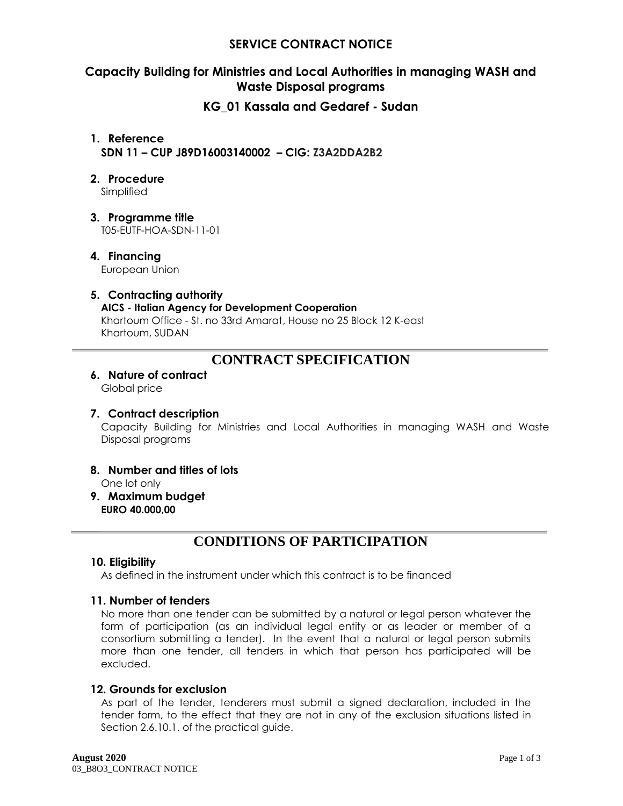## **SERVICE CONTRACT NOTICE**

## **Capacity Building for Ministries and Local Authorities in managing WASH and Waste Disposal programs**

## **KG\_01 Kassala and Gedaref - Sudan**

**1. Reference SDN 11 – CUP J89D16003140002 – CIG: Z3A2DDA2B2**

## **2. Procedure**

Simplified

**3. Programme title**

T05-EUTF-HOA-SDN-11-01

## **4. Financing**

European Union

## **5. Contracting authority**

## **AICS - Italian Agency for Development Cooperation**

Khartoum Office - St. no 33rd Amarat, House no 25 Block 12 K-east Khartoum, SUDAN

# **CONTRACT SPECIFICATION**

## **6. Nature of contract**

Global price

## **7. Contract description**

Capacity Building for Ministries and Local Authorities in managing WASH and Waste Disposal programs

- **8. Number and titles of lots**
	- One lot only
- **9. Maximum budget EURO 40.000,00**

# **CONDITIONS OF PARTICIPATION**

## **10. Eligibility**

As defined in the instrument under which this contract is to be financed

## **11. Number of tenders**

No more than one tender can be submitted by a natural or legal person whatever the form of participation (as an individual legal entity or as leader or member of a consortium submitting a tender). In the event that a natural or legal person submits more than one tender, all tenders in which that person has participated will be excluded.

## **12. Grounds for exclusion**

As part of the tender, tenderers must submit a signed declaration, included in the tender form, to the effect that they are not in any of the exclusion situations listed in Section 2.6.10.1. of the practical guide.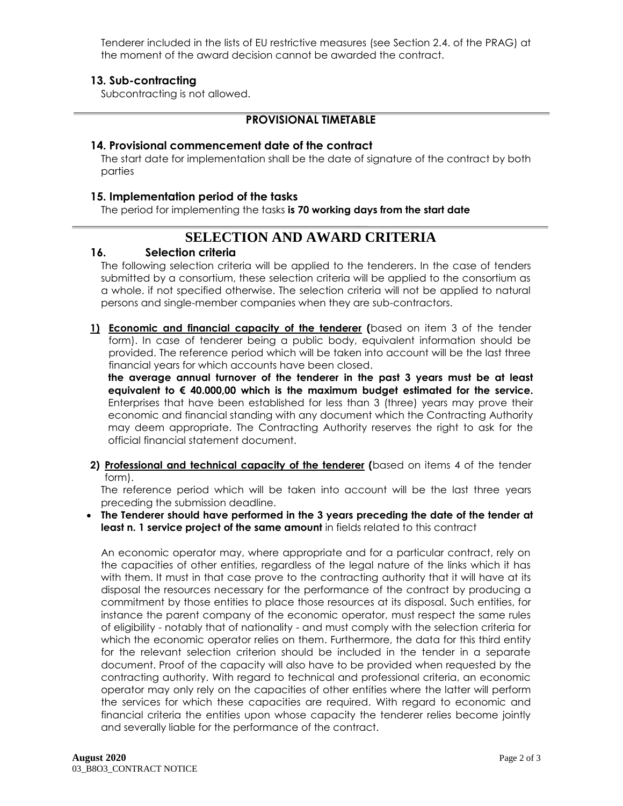Tenderer included in the lists of EU restrictive measures (see Section 2.4. of the PRAG) at the moment of the award decision cannot be awarded the contract.

## **13. Sub-contracting**

Subcontracting is not allowed.

## **PROVISIONAL TIMETABLE**

## **14. Provisional commencement date of the contract**

The start date for implementation shall be the date of signature of the contract by both parties

## **15. Implementation period of the tasks**

The period for implementing the tasks **is 70 working days from the start date**

# **SELECTION AND AWARD CRITERIA**

## **16. Selection criteria**

The following selection criteria will be applied to the tenderers. In the case of tenders submitted by a consortium, these selection criteria will be applied to the consortium as a whole. if not specified otherwise. The selection criteria will not be applied to natural persons and single-member companies when they are sub-contractors.

**1) Economic and financial capacity of the tenderer (**based on item 3 of the tender form). In case of tenderer being a public body, equivalent information should be provided. The reference period which will be taken into account will be the last three financial years for which accounts have been closed.

**the average annual turnover of the tenderer in the past 3 years must be at least equivalent to € 40.000,00 which is the maximum budget estimated for the service.** Enterprises that have been established for less than 3 (three) years may prove their economic and financial standing with any document which the Contracting Authority may deem appropriate. The Contracting Authority reserves the right to ask for the official financial statement document.

**2) Professional and technical capacity of the tenderer (**based on items 4 of the tender form).

The reference period which will be taken into account will be the last three years preceding the submission deadline.

 **The Tenderer should have performed in the 3 years preceding the date of the tender at least n. 1 service project of the same amount** in fields related to this contract

An economic operator may, where appropriate and for a particular contract, rely on the capacities of other entities, regardless of the legal nature of the links which it has with them. It must in that case prove to the contracting authority that it will have at its disposal the resources necessary for the performance of the contract by producing a commitment by those entities to place those resources at its disposal. Such entities, for instance the parent company of the economic operator, must respect the same rules of eligibility - notably that of nationality - and must comply with the selection criteria for which the economic operator relies on them. Furthermore, the data for this third entity for the relevant selection criterion should be included in the tender in a separate document. Proof of the capacity will also have to be provided when requested by the contracting authority. With regard to technical and professional criteria, an economic operator may only rely on the capacities of other entities where the latter will perform the services for which these capacities are required. With regard to economic and financial criteria the entities upon whose capacity the tenderer relies become jointly and severally liable for the performance of the contract.